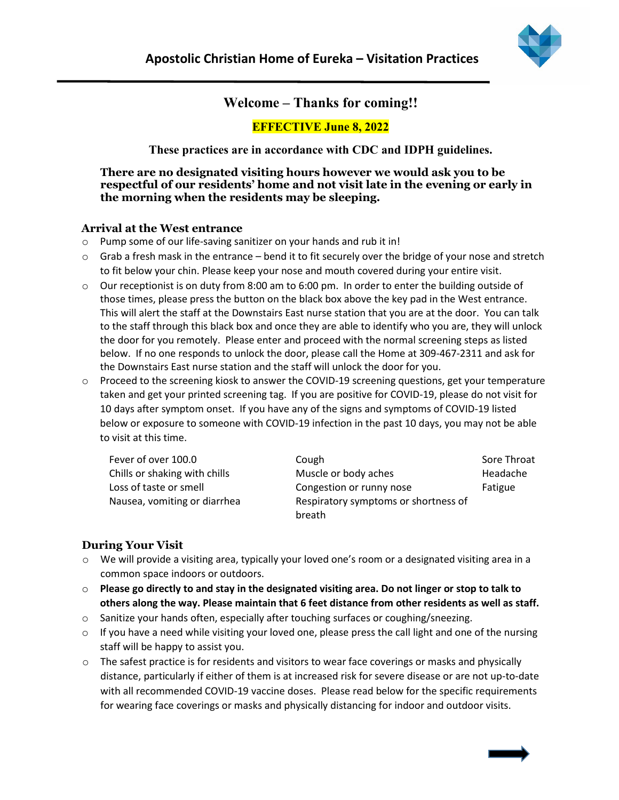

# **Welcome – Thanks for coming!!**

## **EFFECTIVE June 8, 2022**

**These practices are in accordance with CDC and IDPH guidelines.**

**There are no designated visiting hours however we would ask you to be respectful of our residents' home and not visit late in the evening or early in the morning when the residents may be sleeping.**

### **Arrival at the West entrance**

- o Pump some of our life-saving sanitizer on your hands and rub it in!
- $\circ$  Grab a fresh mask in the entrance bend it to fit securely over the bridge of your nose and stretch to fit below your chin. Please keep your nose and mouth covered during your entire visit.
- o Our receptionist is on duty from 8:00 am to 6:00 pm. In order to enter the building outside of those times, please press the button on the black box above the key pad in the West entrance. This will alert the staff at the Downstairs East nurse station that you are at the door. You can talk to the staff through this black box and once they are able to identify who you are, they will unlock the door for you remotely. Please enter and proceed with the normal screening steps as listed below. If no one responds to unlock the door, please call the Home at 309-467-2311 and ask for the Downstairs East nurse station and the staff will unlock the door for you.
- o Proceed to the screening kiosk to answer the COVID-19 screening questions, get your temperature taken and get your printed screening tag. If you are positive for COVID-19, please do not visit for 10 days after symptom onset. If you have any of the signs and symptoms of COVID-19 listed below or exposure to someone with COVID-19 infection in the past 10 days, you may not be able to visit at this time.

| Fever of over 100.0           | Cough                                | Sore Throat |
|-------------------------------|--------------------------------------|-------------|
| Chills or shaking with chills | Muscle or body aches                 | Headache    |
| Loss of taste or smell        | Congestion or runny nose             | Fatigue     |
| Nausea, vomiting or diarrhea  | Respiratory symptoms or shortness of |             |
|                               | breath                               |             |

### **During Your Visit**

- $\circ$  We will provide a visiting area, typically your loved one's room or a designated visiting area in a common space indoors or outdoors.
- o **Please go directly to and stay in the designated visiting area. Do not linger or stop to talk to others along the way. Please maintain that 6 feet distance from other residents as well as staff.**
- $\circ$  Sanitize your hands often, especially after touching surfaces or coughing/sneezing.
- o If you have a need while visiting your loved one, please press the call light and one of the nursing staff will be happy to assist you.
- $\circ$  The safest practice is for residents and visitors to wear face coverings or masks and physically distance, particularly if either of them is at increased risk for severe disease or are not up-to-date with all recommended COVID-19 vaccine doses. Please read below for the specific requirements for wearing face coverings or masks and physically distancing for indoor and outdoor visits.